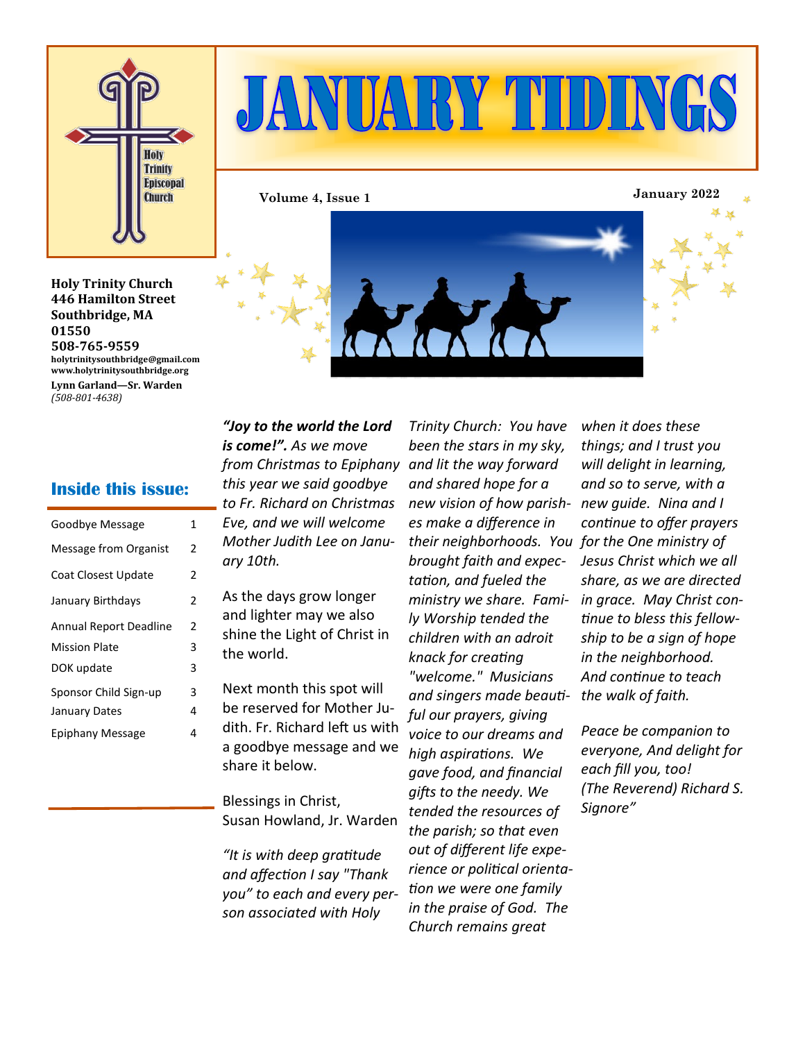

# JANUARY TIDINGS

**Volume 4, Issue 1 January 2022**



**Holy Trinity Church 446 Hamilton Street Southbridge, MA 01550 508-765-9559 holytrinitysouthbridge@gmail.com www.holytrinitysouthbridge.org Lynn Garland—Sr. Warden** *(508-801-4638)*

#### **Inside this issue:**

| Goodbye Message               | 1 |
|-------------------------------|---|
| <b>Message from Organist</b>  | 2 |
| Coat Closest Update           | 2 |
| January Birthdays             | 2 |
| <b>Annual Report Deadline</b> | 2 |
| <b>Mission Plate</b>          | 3 |
| DOK update                    | 3 |
| Sponsor Child Sign-up         | 3 |
| January Dates                 | 4 |
| Epiphany Message              | 4 |

*"Joy to the world the Lord is come!". As we move from Christmas to Epiphany and lit the way forward this year we said goodbye to Fr. Richard on Christmas Eve, and we will welcome Mother Judith Lee on January 10th.* 

As the days grow longer and lighter may we also the world.

Next month this spot will be reserved for Mother Judith. Fr. Richard left us with a goodbye message and we share it below.

Blessings in Christ, Susan Howland, Jr. Warden

*"It is with deep gratitude and affection I say "Thank you" to each and every person associated with Holy* 

*Trinity Church: You have been the stars in my sky, and shared hope for a new vision of how parish-new guide. Nina and I es make a difference in their neighborhoods. You for the One ministry of brought faith and expectation, and fueled the ministry we share. Family Worship tended the children with an adroit knack for creating "welcome." Musicians and singers made beautiful our prayers, giving voice to our dreams and high aspirations. We gave food, and financial gifts to the needy. We tended the resources of the parish; so that even out of different life experience or political orientation we were one family in the praise of God. The Church remains great* 

*when it does these things; and I trust you will delight in learning, and so to serve, with a continue to offer prayers Jesus Christ which we all share, as we are directed in grace. May Christ continue to bless this fellowship to be a sign of hope in the neighborhood. And continue to teach the walk of faith.* 

*Peace be companion to everyone, And delight for each fill you, too! (The Reverend) Richard S. Signore"*

shine the Light of Christ in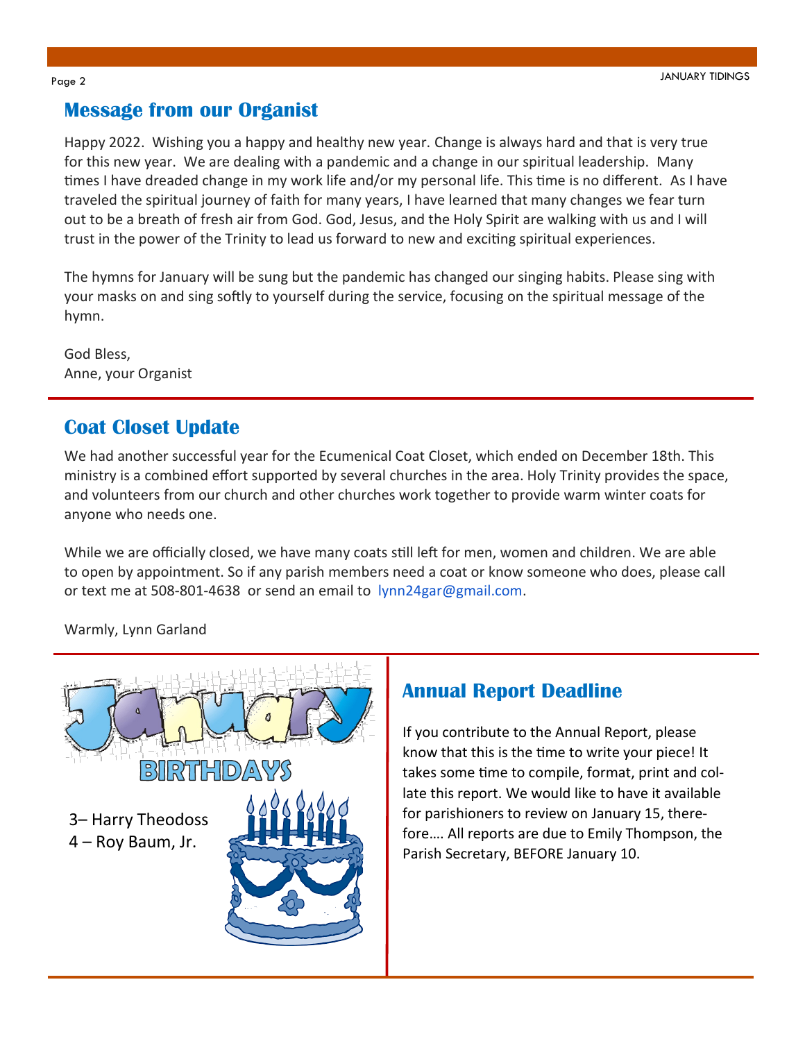# **Message from our Organist**

Happy 2022. Wishing you a happy and healthy new year. Change is always hard and that is very true for this new year. We are dealing with a pandemic and a change in our spiritual leadership. Many times I have dreaded change in my work life and/or my personal life. This time is no different. As I have traveled the spiritual journey of faith for many years, I have learned that many changes we fear turn out to be a breath of fresh air from God. God, Jesus, and the Holy Spirit are walking with us and I will trust in the power of the Trinity to lead us forward to new and exciting spiritual experiences.

The hymns for January will be sung but the pandemic has changed our singing habits. Please sing with your masks on and sing softly to yourself during the service, focusing on the spiritual message of the hymn.

God Bless, Anne, your Organist

# **Coat Closet Update**

We had another successful year for the Ecumenical Coat Closet, which ended on December 18th. This ministry is a combined effort supported by several churches in the area. Holy Trinity provides the space, and volunteers from our church and other churches work together to provide warm winter coats for anyone who needs one.

While we are officially closed, we have many coats still left for men, women and children. We are able to open by appointment. So if any parish members need a coat or know someone who does, please call or text me at 508-801-4638 or send an email to lynn24gar@gmail.com.

Warmly, Lynn Garland



### **Annual Report Deadline**

If you contribute to the Annual Report, please know that this is the time to write your piece! It takes some time to compile, format, print and collate this report. We would like to have it available for parishioners to review on January 15, therefore…. All reports are due to Emily Thompson, the Parish Secretary, BEFORE January 10.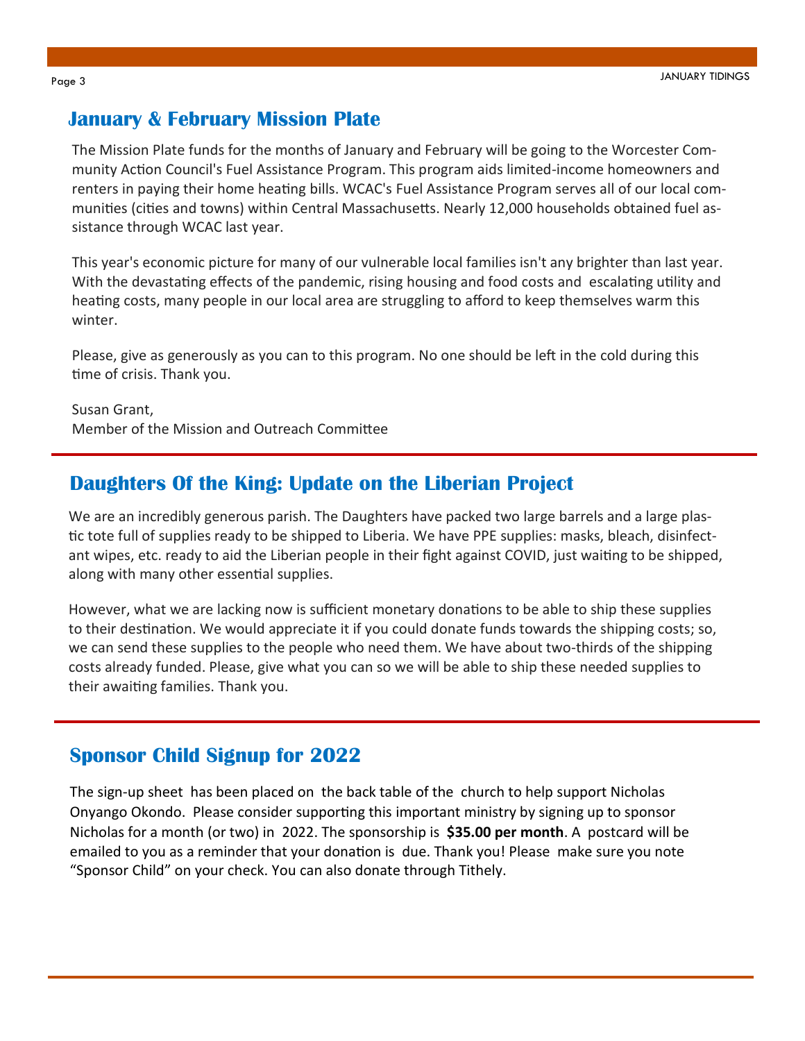#### **January & February Mission Plate**

The Mission Plate funds for the months of January and February will be going to the Worcester Community Action Council's Fuel Assistance Program. This program aids limited-income homeowners and renters in paying their home heating bills. WCAC's Fuel Assistance Program serves all of our local communities (cities and towns) within Central Massachusetts. Nearly 12,000 households obtained fuel assistance through WCAC last year.

This year's economic picture for many of our vulnerable local families isn't any brighter than last year. With the devastating effects of the pandemic, rising housing and food costs and escalating utility and heating costs, many people in our local area are struggling to afford to keep themselves warm this winter.

Please, give as generously as you can to this program. No one should be left in the cold during this time of crisis. Thank you.

Susan Grant, Member of the Mission and Outreach Committee

#### **Daughters Of the King: Update on the Liberian Project**

We are an incredibly generous parish. The Daughters have packed two large barrels and a large plastic tote full of supplies ready to be shipped to Liberia. We have PPE supplies: masks, bleach, disinfectant wipes, etc. ready to aid the Liberian people in their fight against COVID, just waiting to be shipped, along with many other essential supplies.

However, what we are lacking now is sufficient monetary donations to be able to ship these supplies to their destination. We would appreciate it if you could donate funds towards the shipping costs; so, we can send these supplies to the people who need them. We have about two-thirds of the shipping costs already funded. Please, give what you can so we will be able to ship these needed supplies to their awaiting families. Thank you.

#### **Sponsor Child Signup for 2022**

The sign-up sheet has been placed on the back table of the church to help support Nicholas Onyango Okondo. Please consider supporting this important ministry by signing up to sponsor Nicholas for a month (or two) in 2022. The sponsorship is **\$35.00 per month**. A postcard will be emailed to you as a reminder that your donation is due. Thank you! Please make sure you note "Sponsor Child" on your check. You can also donate through Tithely.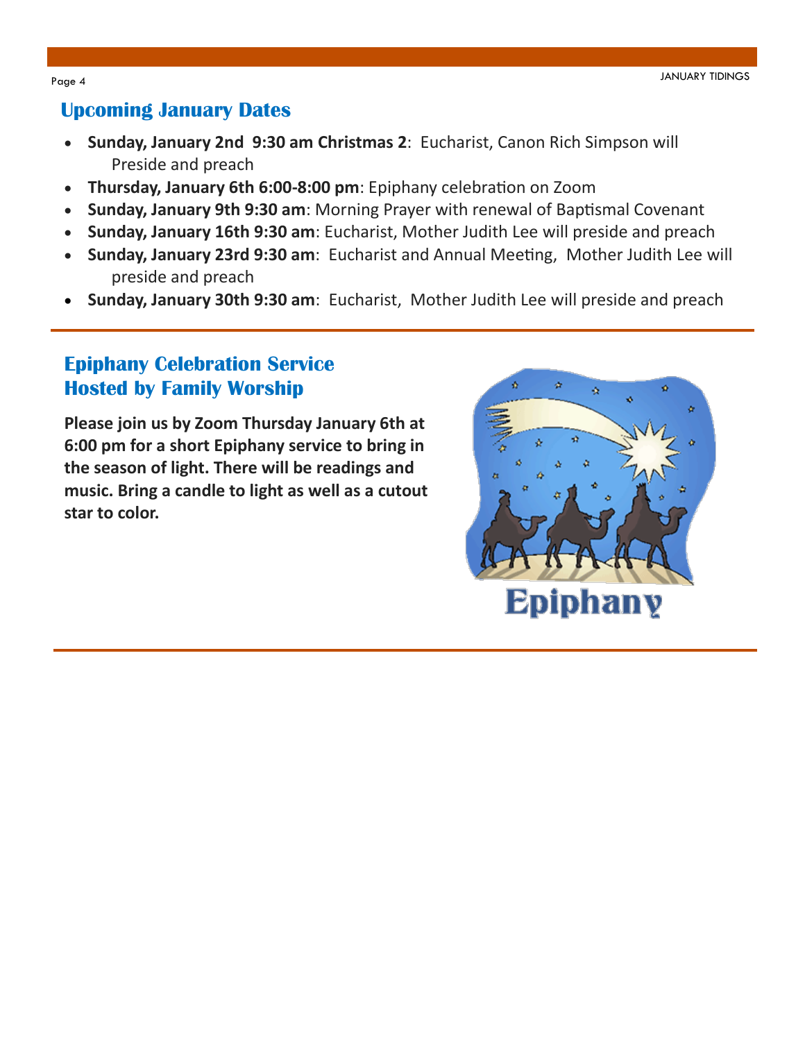### **Upcoming January Dates**

- **Sunday, January 2nd 9:30 am Christmas 2**: Eucharist, Canon Rich Simpson will Preside and preach
- **Thursday, January 6th 6:00-8:00 pm**: Epiphany celebration on Zoom
- **Sunday, January 9th 9:30 am**: Morning Prayer with renewal of Baptismal Covenant
- **Sunday, January 16th 9:30 am**: Eucharist, Mother Judith Lee will preside and preach
- **Sunday, January 23rd 9:30 am**: Eucharist and Annual Meeting, Mother Judith Lee will preside and preach
- **Sunday, January 30th 9:30 am**: Eucharist, Mother Judith Lee will preside and preach

# **Epiphany Celebration Service Hosted by Family Worship**

**Please join us by Zoom Thursday January 6th at 6:00 pm for a short Epiphany service to bring in the season of light. There will be readings and music. Bring a candle to light as well as a cutout star to color.**